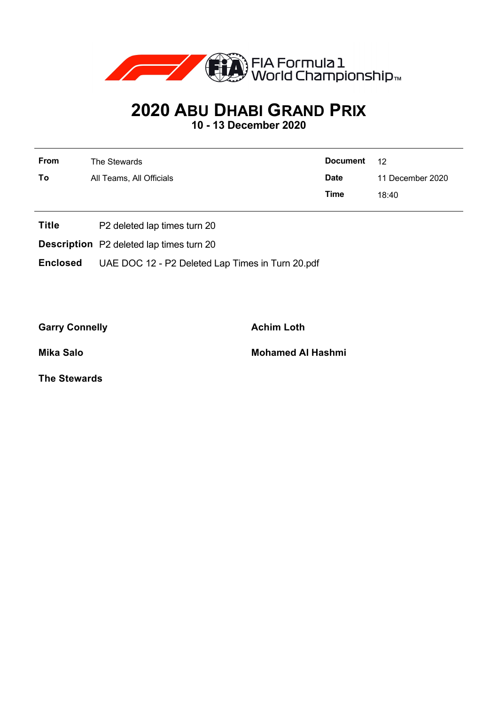

## **2020 ABU DHABI GRAND PRIX**

**10 - 13 December 2020**

| From | The Stewards             | <b>Document</b> | 12               |
|------|--------------------------|-----------------|------------------|
| To   | All Teams, All Officials | <b>Date</b>     | 11 December 2020 |
|      |                          | Time            | 18:40            |
|      |                          |                 |                  |

- **Title** P2 deleted lap times turn 20
- **Description** P2 deleted lap times turn 20

**Enclosed** UAE DOC 12 - P2 Deleted Lap Times in Turn 20.pdf

Garry Connelly **Achim Loth** 

**Mika Salo Mohamed Al Hashmi**

**The Stewards**